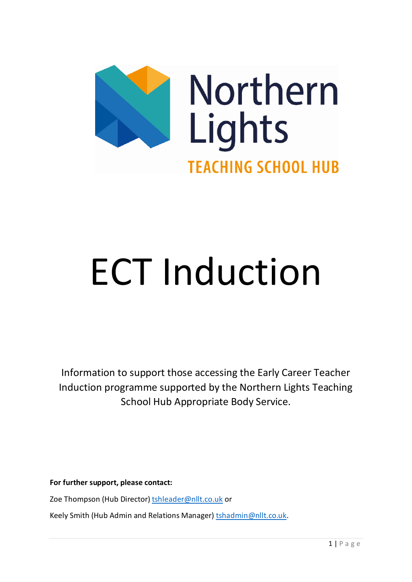

# ECT Induction

Information to support those accessing the Early Career Teacher Induction programme supported by the Northern Lights Teaching School Hub Appropriate Body Service.

**For further support, please contact:**

Zoe Thompson (Hub Director[\) tshleader@nllt.co.uk](mailto:tshleader@nllt.co.uk) or

Keely Smith (Hub Admin and Relations Manager) [tshadmin@nllt.co.uk.](mailto:tshadmin@nllt.co.uk)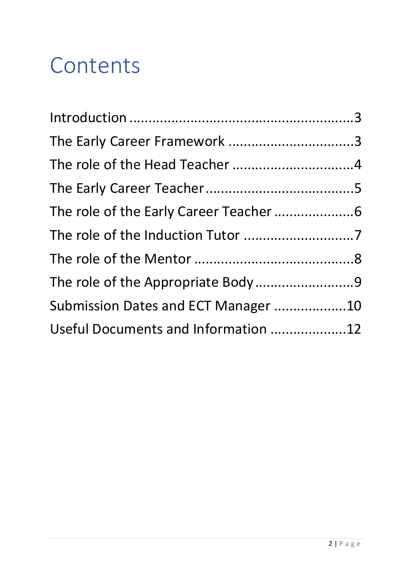# **Contents**

| The role of the Appropriate Body9   |
|-------------------------------------|
| Submission Dates and ECT Manager 10 |
| Useful Documents and Information 12 |
|                                     |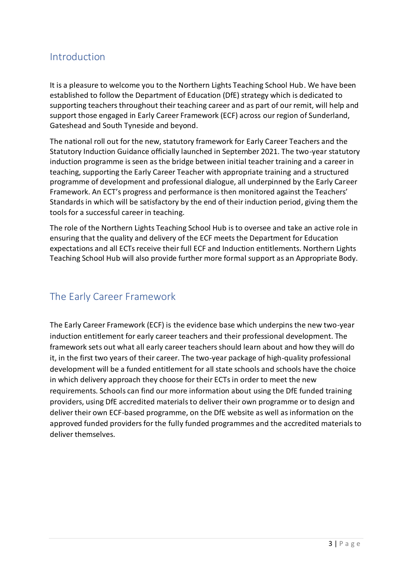#### <span id="page-2-0"></span>Introduction

It is a pleasure to welcome you to the Northern Lights Teaching School Hub. We have been established to follow the Department of Education (DfE) strategy which is dedicated to supporting teachers throughout their teaching career and as part of our remit, will help and support those engaged in Early Career Framework (ECF) across our region of Sunderland, Gateshead and South Tyneside and beyond.

The national roll out for the new, statutory framework for Early Career Teachers and the Statutory Induction Guidance officially launched in September 2021. The two-year statutory induction programme is seen as the bridge between initial teacher training and a career in teaching, supporting the Early Career Teacher with appropriate training and a structured programme of development and professional dialogue, all underpinned by the Early Career Framework. An ECT's progress and performance is then monitored against the Teachers' Standards in which will be satisfactory by the end of their induction period, giving them the tools for a successful career in teaching.

The role of the Northern Lights Teaching School Hub is to oversee and take an active role in ensuring that the quality and delivery of the ECF meets the Department for Education expectations and all ECTs receive their full ECF and Induction entitlements. Northern Lights Teaching School Hub will also provide further more formal support as an Appropriate Body.

#### <span id="page-2-1"></span>The Early Career Framework

The Early Career Framework (ECF) is the evidence base which underpins the new two-year induction entitlement for early career teachers and their professional development. The framework sets out what all early career teachers should learn about and how they will do it, in the first two years of their career. The two-year package of high-quality professional development will be a funded entitlement for all state schools and schools have the choice in which delivery approach they choose for their ECTs in order to meet the new requirements. Schools can find our more information about using the DfE funded training providers, using DfE accredited materials to deliver their own programme or to design and deliver their own ECF-based programme, on the DfE website as well as information on the approved funded providers for the fully funded programmes and the accredited materials to deliver themselves.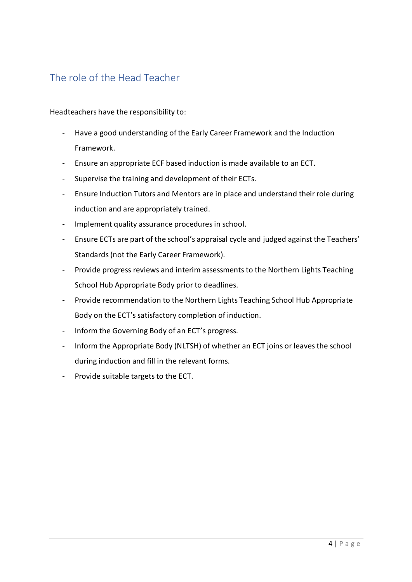#### <span id="page-3-0"></span>The role of the Head Teacher

Headteachers have the responsibility to:

- Have a good understanding of the Early Career Framework and the Induction Framework.
- Ensure an appropriate ECF based induction is made available to an ECT.
- Supervise the training and development of their ECTs.
- Ensure Induction Tutors and Mentors are in place and understand their role during induction and are appropriately trained.
- Implement quality assurance procedures in school.
- Ensure ECTs are part of the school's appraisal cycle and judged against the Teachers' Standards (not the Early Career Framework).
- Provide progress reviews and interim assessments to the Northern Lights Teaching School Hub Appropriate Body prior to deadlines.
- Provide recommendation to the Northern Lights Teaching School Hub Appropriate Body on the ECT's satisfactory completion of induction.
- Inform the Governing Body of an ECT's progress.
- Inform the Appropriate Body (NLTSH) of whether an ECT joins or leaves the school during induction and fill in the relevant forms.
- Provide suitable targets to the ECT.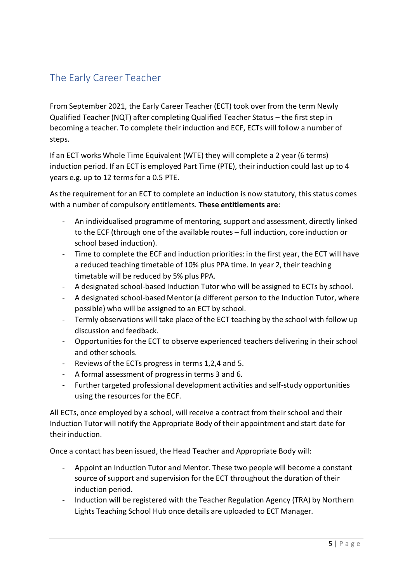# <span id="page-4-0"></span>The Early Career Teacher

From September 2021, the Early Career Teacher (ECT) took over from the term Newly Qualified Teacher (NQT) after completing Qualified Teacher Status – the first step in becoming a teacher. To complete their induction and ECF, ECTs will follow a number of steps.

If an ECT works Whole Time Equivalent (WTE) they will complete a 2 year (6 terms) induction period. If an ECT is employed Part Time (PTE), their induction could last up to 4 years e.g. up to 12 terms for a 0.5 PTE.

As the requirement for an ECT to complete an induction is now statutory, this status comes with a number of compulsory entitlements. **These entitlements are**:

- An individualised programme of mentoring, support and assessment, directly linked to the ECF (through one of the available routes – full induction, core induction or school based induction).
- Time to complete the ECF and induction priorities: in the first year, the ECT will have a reduced teaching timetable of 10% plus PPA time. In year 2, their teaching timetable will be reduced by 5% plus PPA.
- A designated school-based Induction Tutor who will be assigned to ECTs by school.
- A designated school-based Mentor (a different person to the Induction Tutor, where possible) who will be assigned to an ECT by school.
- Termly observations will take place of the ECT teaching by the school with follow up discussion and feedback.
- Opportunities for the ECT to observe experienced teachers delivering in their school and other schools.
- Reviews of the ECTs progress in terms 1,2,4 and 5.
- A formal assessment of progress in terms 3 and 6.
- Further targeted professional development activities and self-study opportunities using the resources for the ECF.

All ECTs, once employed by a school, will receive a contract from their school and their Induction Tutor will notify the Appropriate Body of their appointment and start date for their induction.

Once a contact has been issued, the Head Teacher and Appropriate Body will:

- Appoint an Induction Tutor and Mentor. These two people will become a constant source of support and supervision for the ECT throughout the duration of their induction period.
- Induction will be registered with the Teacher Regulation Agency (TRA) by Northern Lights Teaching School Hub once details are uploaded to ECT Manager.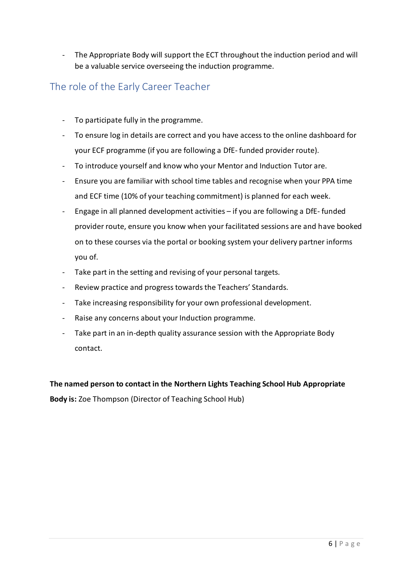- The Appropriate Body will support the ECT throughout the induction period and will be a valuable service overseeing the induction programme.

#### <span id="page-5-0"></span>The role of the Early Career Teacher

- To participate fully in the programme.
- To ensure log in details are correct and you have access to the online dashboard for your ECF programme (if you are following a DfE- funded provider route).
- To introduce yourself and know who your Mentor and Induction Tutor are.
- Ensure you are familiar with school time tables and recognise when your PPA time and ECF time (10% of your teaching commitment) is planned for each week.
- Engage in all planned development activities if you are following a DfE- funded provider route, ensure you know when your facilitated sessions are and have booked on to these courses via the portal or booking system your delivery partner informs you of.
- Take part in the setting and revising of your personal targets.
- Review practice and progress towards the Teachers' Standards.
- Take increasing responsibility for your own professional development.
- Raise any concerns about your Induction programme.
- Take part in an in-depth quality assurance session with the Appropriate Body contact.

**The named person to contact in the Northern Lights Teaching School Hub Appropriate Body is:** Zoe Thompson (Director of Teaching School Hub)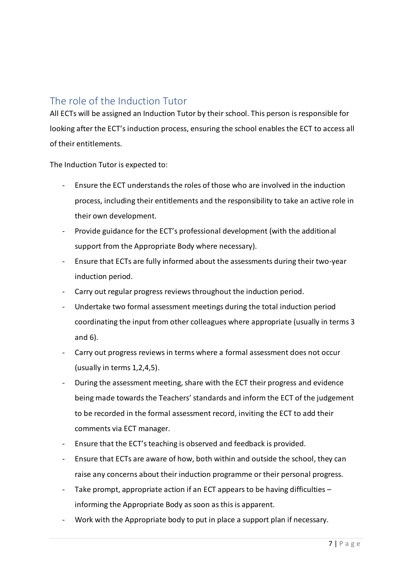#### <span id="page-6-0"></span>The role of the Induction Tutor

All ECTs will be assigned an Induction Tutor by their school. This person is responsible for looking after the ECT's induction process, ensuring the school enables the ECT to access all of their entitlements.

The Induction Tutor is expected to:

- Ensure the ECT understands the roles of those who are involved in the induction process, including their entitlements and the responsibility to take an active role in their own development.
- Provide guidance for the ECT's professional development (with the additional support from the Appropriate Body where necessary).
- Ensure that ECTs are fully informed about the assessments during their two-year induction period.
- Carry out regular progress reviews throughout the induction period.
- Undertake two formal assessment meetings during the total induction period coordinating the input from other colleagues where appropriate (usually in terms 3 and 6).
- Carry out progress reviews in terms where a formal assessment does not occur (usually in terms 1,2,4,5).
- During the assessment meeting, share with the ECT their progress and evidence being made towards the Teachers' standards and inform the ECT of the judgement to be recorded in the formal assessment record, inviting the ECT to add their comments via ECT manager.
- Ensure that the ECT's teaching is observed and feedback is provided.
- Ensure that ECTs are aware of how, both within and outside the school, they can raise any concerns about their induction programme or their personal progress.
- Take prompt, appropriate action if an ECT appears to be having difficulties  $$ informing the Appropriate Body as soon as this is apparent.
- Work with the Appropriate body to put in place a support plan if necessary.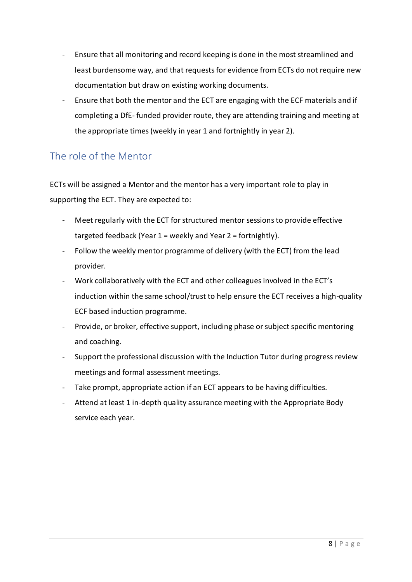- Ensure that all monitoring and record keeping is done in the most streamlined and least burdensome way, and that requests for evidence from ECTs do not require new documentation but draw on existing working documents.
- Ensure that both the mentor and the ECT are engaging with the ECF materials and if completing a DfE- funded provider route, they are attending training and meeting at the appropriate times (weekly in year 1 and fortnightly in year 2).

# <span id="page-7-0"></span>The role of the Mentor

ECTs will be assigned a Mentor and the mentor has a very important role to play in supporting the ECT. They are expected to:

- Meet regularly with the ECT for structured mentor sessions to provide effective targeted feedback (Year 1 = weekly and Year 2 = fortnightly).
- Follow the weekly mentor programme of delivery (with the ECT) from the lead provider.
- Work collaboratively with the ECT and other colleagues involved in the ECT's induction within the same school/trust to help ensure the ECT receives a high-quality ECF based induction programme.
- Provide, or broker, effective support, including phase or subject specific mentoring and coaching.
- Support the professional discussion with the Induction Tutor during progress review meetings and formal assessment meetings.
- Take prompt, appropriate action if an ECT appears to be having difficulties.
- Attend at least 1 in-depth quality assurance meeting with the Appropriate Body service each year.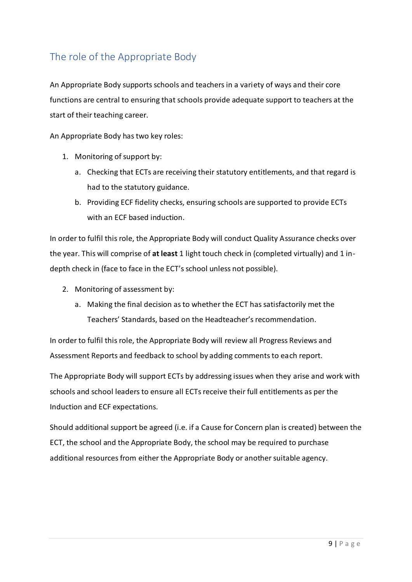# <span id="page-8-0"></span>The role of the Appropriate Body

An Appropriate Body supports schools and teachers in a variety of ways and their core functions are central to ensuring that schools provide adequate support to teachers at the start of their teaching career.

An Appropriate Body has two key roles:

- 1. Monitoring of support by:
	- a. Checking that ECTs are receiving their statutory entitlements, and that regard is had to the statutory guidance.
	- b. Providing ECF fidelity checks, ensuring schools are supported to provide ECTs with an ECF based induction.

In order to fulfil this role, the Appropriate Body will conduct Quality Assurance checks over the year. This will comprise of **at least** 1 light touch check in (completed virtually) and 1 indepth check in (face to face in the ECT's school unless not possible).

- 2. Monitoring of assessment by:
	- a. Making the final decision as to whether the ECT has satisfactorily met the Teachers' Standards, based on the Headteacher's recommendation.

In order to fulfil this role, the Appropriate Body will review all Progress Reviews and Assessment Reports and feedback to school by adding comments to each report.

The Appropriate Body will support ECTs by addressing issues when they arise and work with schools and school leaders to ensure all ECTs receive their full entitlements as per the Induction and ECF expectations.

Should additional support be agreed (i.e. if a Cause for Concern plan is created) between the ECT, the school and the Appropriate Body, the school may be required to purchase additional resources from either the Appropriate Body or another suitable agency.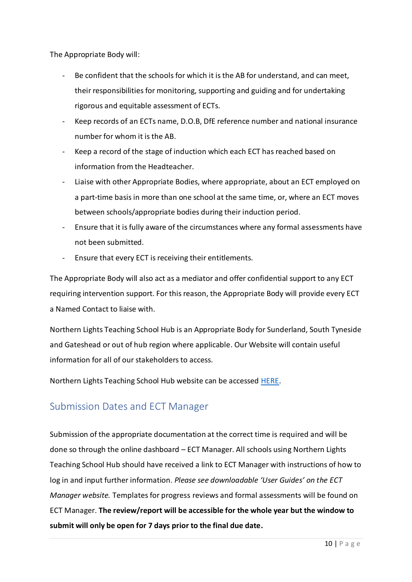The Appropriate Body will:

- Be confident that the schools for which it is the AB for understand, and can meet, their responsibilities for monitoring, supporting and guiding and for undertaking rigorous and equitable assessment of ECTs.
- Keep records of an ECTs name, D.O.B, DfE reference number and national insurance number for whom it is the AB.
- Keep a record of the stage of induction which each ECT has reached based on information from the Headteacher.
- Liaise with other Appropriate Bodies, where appropriate, about an ECT employed on a part-time basis in more than one school at the same time, or, where an ECT moves between schools/appropriate bodies during their induction period.
- Ensure that it is fully aware of the circumstances where any formal assessments have not been submitted.
- Ensure that every ECT is receiving their entitlements.

The Appropriate Body will also act as a mediator and offer confidential support to any ECT requiring intervention support. For this reason, the Appropriate Body will provide every ECT a Named Contact to liaise with.

Northern Lights Teaching School Hub is an Appropriate Body for Sunderland, South Tyneside and Gateshead or out of hub region where applicable. Our Website will contain useful information for all of our stakeholders to access.

Northern Lights Teaching School Hub website can be accessed [HERE.](https://northernlightstsh.co.uk/appropriate-body/)

# <span id="page-9-0"></span>Submission Dates and ECT Manager

Submission of the appropriate documentation at the correct time is required and will be done so through the online dashboard – ECT Manager. All schools using Northern Lights Teaching School Hub should have received a link to ECT Manager with instructions of how to log in and input further information. *Please see downloadable 'User Guides' on the ECT Manager website.* Templates for progress reviews and formal assessments will be found on ECT Manager. **The review/report will be accessible for the whole year but the window to submit will only be open for 7 days prior to the final due date.**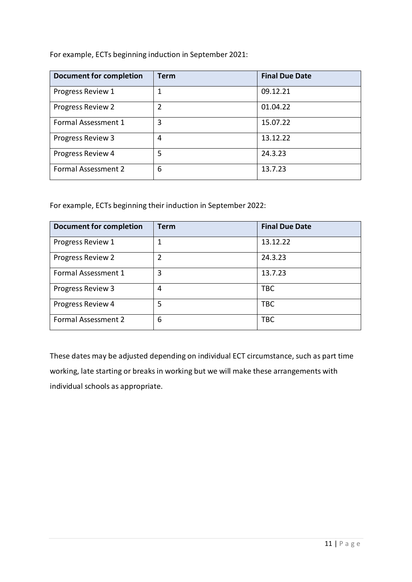For example, ECTs beginning induction in September 2021:

| Document for completion    | Term           | <b>Final Due Date</b> |
|----------------------------|----------------|-----------------------|
| Progress Review 1          | 1              | 09.12.21              |
| Progress Review 2          | $\overline{2}$ | 01.04.22              |
| Formal Assessment 1        | 3              | 15.07.22              |
| Progress Review 3          | 4              | 13.12.22              |
| Progress Review 4          | 5              | 24.3.23               |
| <b>Formal Assessment 2</b> | 6              | 13.7.23               |

For example, ECTs beginning their induction in September 2022:

| <b>Document for completion</b> | <b>Term</b> | <b>Final Due Date</b> |
|--------------------------------|-------------|-----------------------|
| Progress Review 1              |             | 13.12.22              |
| Progress Review 2              | 2           | 24.3.23               |
| Formal Assessment 1            | 3           | 13.7.23               |
| Progress Review 3              | 4           | <b>TBC</b>            |
| Progress Review 4              | 5           | <b>TBC</b>            |
| <b>Formal Assessment 2</b>     | 6           | <b>TBC</b>            |

These dates may be adjusted depending on individual ECT circumstance, such as part time working, late starting or breaks in working but we will make these arrangements with individual schools as appropriate.